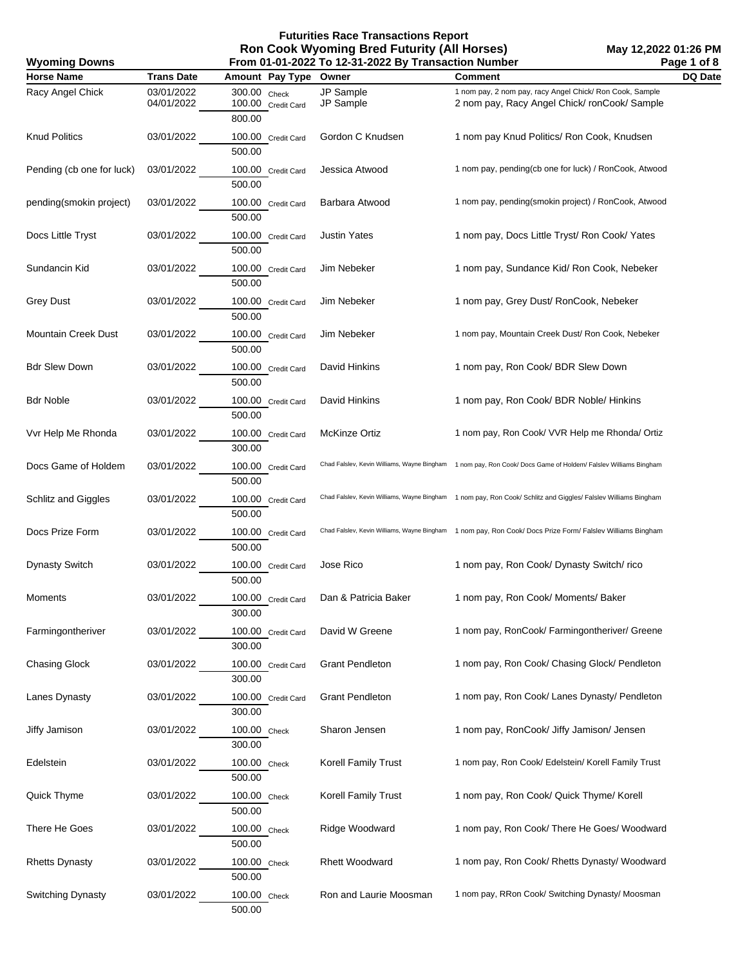**May 12,2022 01:26 PM Page 1 of 8**

| <b>Wyoming Downs</b>       |                          | Page 1 of 8<br>From 01-01-2022 To 12-31-2022 By Transaction Number |                            |                                                                                                                |         |  |
|----------------------------|--------------------------|--------------------------------------------------------------------|----------------------------|----------------------------------------------------------------------------------------------------------------|---------|--|
| <b>Horse Name</b>          | <b>Trans Date</b>        | Amount Pay Type Owner                                              |                            | <b>Comment</b>                                                                                                 | DQ Date |  |
| Racy Angel Chick           | 03/01/2022<br>04/01/2022 | 300.00 Check<br>100.00 Credit Card                                 | JP Sample<br>JP Sample     | 1 nom pay, 2 nom pay, racy Angel Chick/ Ron Cook, Sample<br>2 nom pay, Racy Angel Chick/ronCook/Sample         |         |  |
| <b>Knud Politics</b>       | 03/01/2022               | 800.00<br>100.00 Credit Card<br>500.00                             | Gordon C Knudsen           | 1 nom pay Knud Politics/ Ron Cook, Knudsen                                                                     |         |  |
| Pending (cb one for luck)  | 03/01/2022               | 100.00 Credit Card<br>500.00                                       | Jessica Atwood             | 1 nom pay, pending(cb one for luck) / RonCook, Atwood                                                          |         |  |
| pending(smokin project)    | 03/01/2022               | 100.00 Credit Card<br>500.00                                       | Barbara Atwood             | 1 nom pay, pending(smokin project) / RonCook, Atwood                                                           |         |  |
| Docs Little Tryst          | 03/01/2022               | 100.00 Credit Card<br>500.00                                       | <b>Justin Yates</b>        | 1 nom pay, Docs Little Tryst/ Ron Cook/ Yates                                                                  |         |  |
| Sundancin Kid              | 03/01/2022               | 100.00 Credit Card<br>500.00                                       | Jim Nebeker                | 1 nom pay, Sundance Kid/ Ron Cook, Nebeker                                                                     |         |  |
| <b>Grey Dust</b>           | 03/01/2022               | 100.00 Credit Card<br>500.00                                       | Jim Nebeker                | 1 nom pay, Grey Dust/ RonCook, Nebeker                                                                         |         |  |
| <b>Mountain Creek Dust</b> | 03/01/2022               | 100.00 Credit Card<br>500.00                                       | Jim Nebeker                | 1 nom pay, Mountain Creek Dust/ Ron Cook, Nebeker                                                              |         |  |
| <b>Bdr Slew Down</b>       | 03/01/2022               | 100.00 Credit Card<br>500.00                                       | David Hinkins              | 1 nom pay, Ron Cook/ BDR Slew Down                                                                             |         |  |
| <b>Bdr Noble</b>           | 03/01/2022               | 100.00 Credit Card<br>500.00                                       | David Hinkins              | 1 nom pay, Ron Cook/ BDR Noble/ Hinkins                                                                        |         |  |
| Vvr Help Me Rhonda         | 03/01/2022               | 100.00 Credit Card<br>300.00                                       | <b>McKinze Ortiz</b>       | 1 nom pay, Ron Cook/ VVR Help me Rhonda/ Ortiz                                                                 |         |  |
| Docs Game of Holdem        | 03/01/2022               | 100.00 Credit Card<br>500.00                                       |                            | Chad Falslev, Kevin Williams, Wayne Bingham 1 nom pay, Ron Cook/ Docs Game of Holdem/ Falslev Williams Bingham |         |  |
| Schlitz and Giggles        | 03/01/2022               | 100.00 Credit Card<br>500.00                                       |                            | Chad Falslev, Kevin Williams, Wayne Bingham 1 nom pay, Ron Cook/ Schlitz and Giggles/ Falslev Williams Bingham |         |  |
| Docs Prize Form            | 03/01/2022               | 100.00 Credit Card<br>500.00                                       |                            | Chad Falslev, Kevin Williams, Wayne Bingham 1 nom pay, Ron Cook/ Docs Prize Form/ Falslev Williams Bingham     |         |  |
| <b>Dynasty Switch</b>      | 03/01/2022               | 100.00 Credit Card<br>500.00                                       | Jose Rico                  | 1 nom pay, Ron Cook/ Dynasty Switch/rico                                                                       |         |  |
| Moments                    | 03/01/2022               | 100.00 Credit Card<br>300.00                                       | Dan & Patricia Baker       | 1 nom pay, Ron Cook/ Moments/ Baker                                                                            |         |  |
| Farmingontheriver          | 03/01/2022               | 100.00 Credit Card<br>300.00                                       | David W Greene             | 1 nom pay, RonCook/ Farmingontheriver/ Greene                                                                  |         |  |
| <b>Chasing Glock</b>       | 03/01/2022               | 100.00 Credit Card<br>300.00                                       | <b>Grant Pendleton</b>     | 1 nom pay, Ron Cook/ Chasing Glock/ Pendleton                                                                  |         |  |
| Lanes Dynasty              | 03/01/2022               | 100.00 Credit Card<br>300.00                                       | <b>Grant Pendleton</b>     | 1 nom pay, Ron Cook/ Lanes Dynasty/ Pendleton                                                                  |         |  |
| Jiffy Jamison              | 03/01/2022               | 100.00 Check<br>300.00                                             | Sharon Jensen              | 1 nom pay, RonCook/ Jiffy Jamison/ Jensen                                                                      |         |  |
| Edelstein                  | 03/01/2022               | 100.00 Check<br>500.00                                             | <b>Korell Family Trust</b> | 1 nom pay, Ron Cook/ Edelstein/ Korell Family Trust                                                            |         |  |
| Quick Thyme                | 03/01/2022               | 100.00 Check<br>500.00                                             | Korell Family Trust        | 1 nom pay, Ron Cook/ Quick Thyme/ Korell                                                                       |         |  |
| There He Goes              | 03/01/2022               | 100.00 Check<br>500.00                                             | Ridge Woodward             | 1 nom pay, Ron Cook/ There He Goes/ Woodward                                                                   |         |  |
| <b>Rhetts Dynasty</b>      | 03/01/2022               | 100.00 Check<br>500.00                                             | <b>Rhett Woodward</b>      | 1 nom pay, Ron Cook/ Rhetts Dynasty/ Woodward                                                                  |         |  |
| Switching Dynasty          | 03/01/2022               | 100.00 Check<br>500.00                                             | Ron and Laurie Moosman     | 1 nom pay, RRon Cook/ Switching Dynasty/ Moosman                                                               |         |  |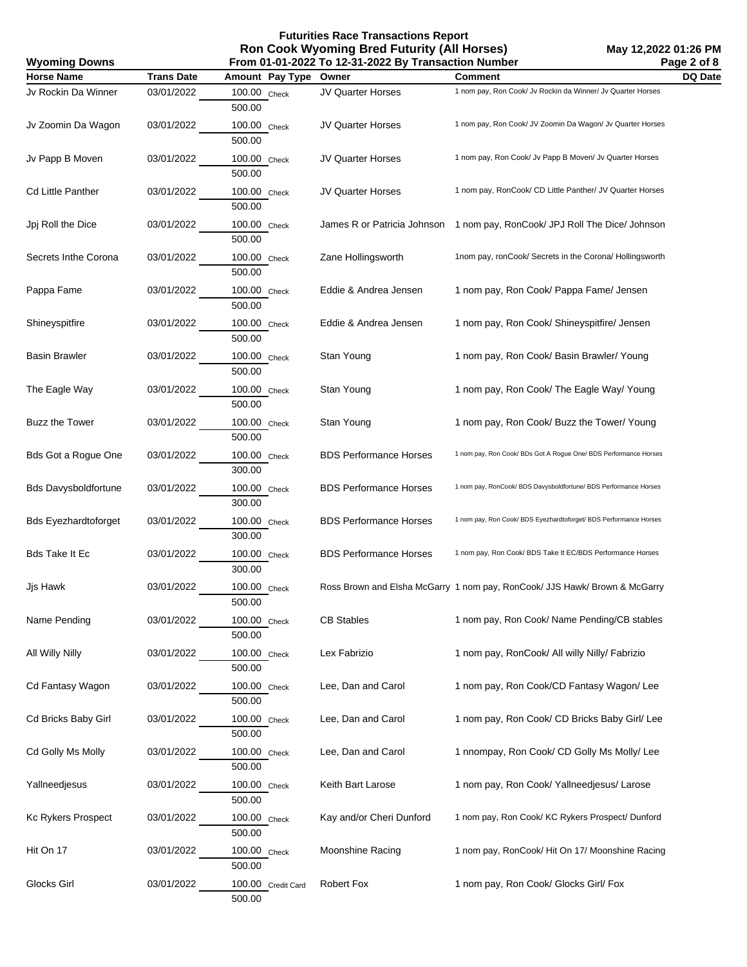## **Futurities Race Transactions Report Ron Cook Wyoming Bred Futurity (All Horses)**

| <b>Wyoming Downs</b>        |                   |                              | From 01-01-2022 To 12-31-2022 By Transaction Number |                                                                            | Page 2 of 8 |
|-----------------------------|-------------------|------------------------------|-----------------------------------------------------|----------------------------------------------------------------------------|-------------|
| <b>Horse Name</b>           | <b>Trans Date</b> | Amount Pay Type              | Owner                                               | <b>Comment</b>                                                             | DQ Date     |
| Jv Rockin Da Winner         | 03/01/2022        | 100.00 Check<br>500.00       | JV Quarter Horses                                   | 1 nom pay, Ron Cook/ Jv Rockin da Winner/ Jv Quarter Horses                |             |
| Jv Zoomin Da Wagon          | 03/01/2022        | 100.00 Check<br>500.00       | JV Quarter Horses                                   | 1 nom pay, Ron Cook/ JV Zoomin Da Wagon/ Jv Quarter Horses                 |             |
| Jv Papp B Moven             | 03/01/2022        | 100.00 Check<br>500.00       | JV Quarter Horses                                   | 1 nom pay, Ron Cook/ Jv Papp B Moven/ Jv Quarter Horses                    |             |
| Cd Little Panther           | 03/01/2022        | 100.00 Check<br>500.00       | <b>JV Quarter Horses</b>                            | 1 nom pay, RonCook/ CD Little Panther/ JV Quarter Horses                   |             |
| Jpj Roll the Dice           | 03/01/2022        | 100.00 Check<br>500.00       | James R or Patricia Johnson                         | 1 nom pay, RonCook/ JPJ Roll The Dice/ Johnson                             |             |
| Secrets Inthe Corona        | 03/01/2022        | 100.00 Check<br>500.00       | Zane Hollingsworth                                  | 1nom pay, ronCook/ Secrets in the Corona/ Hollingsworth                    |             |
| Pappa Fame                  | 03/01/2022        | 100.00 Check<br>500.00       | Eddie & Andrea Jensen                               | 1 nom pay, Ron Cook/ Pappa Fame/ Jensen                                    |             |
| Shineyspitfire              | 03/01/2022        | 100.00 Check<br>500.00       | Eddie & Andrea Jensen                               | 1 nom pay, Ron Cook/ Shineyspitfire/ Jensen                                |             |
| <b>Basin Brawler</b>        | 03/01/2022        | 100.00 Check<br>500.00       | Stan Young                                          | 1 nom pay, Ron Cook/ Basin Brawler/ Young                                  |             |
| The Eagle Way               | 03/01/2022        | 100.00 Check<br>500.00       | Stan Young                                          | 1 nom pay, Ron Cook/ The Eagle Way/ Young                                  |             |
| <b>Buzz the Tower</b>       | 03/01/2022        | 100.00 Check<br>500.00       | Stan Young                                          | 1 nom pay, Ron Cook/ Buzz the Tower/ Young                                 |             |
| Bds Got a Rogue One         | 03/01/2022        | 100.00 Check<br>300.00       | <b>BDS Performance Horses</b>                       | 1 nom pay, Ron Cook/ BDs Got A Rogue One/ BDS Performance Horses           |             |
| <b>Bds Davysboldfortune</b> | 03/01/2022        | 100.00 Check<br>300.00       | <b>BDS Performance Horses</b>                       | 1 nom pay, RonCook/ BDS Davysboldfortune/ BDS Performance Horses           |             |
| <b>Bds Eyezhardtoforget</b> | 03/01/2022        | 100.00 Check<br>300.00       | <b>BDS Performance Horses</b>                       | 1 nom pay, Ron Cook/ BDS Eyezhardtoforget/ BDS Performance Horses          |             |
| Bds Take It Ec              | 03/01/2022        | 100.00 Check<br>300.00       | <b>BDS Performance Horses</b>                       | 1 nom pay, Ron Cook/ BDS Take It EC/BDS Performance Horses                 |             |
| Jjs Hawk                    | 03/01/2022        | 100.00 Check<br>500.00       |                                                     | Ross Brown and Elsha McGarry 1 nom pay, RonCook/ JJS Hawk/ Brown & McGarry |             |
| Name Pending                | 03/01/2022        | 100.00 Check<br>500.00       | <b>CB Stables</b>                                   | 1 nom pay, Ron Cook/ Name Pending/CB stables                               |             |
| All Willy Nilly             | 03/01/2022        | 100.00 Check<br>500.00       | Lex Fabrizio                                        | 1 nom pay, RonCook/ All willy Nilly/ Fabrizio                              |             |
| Cd Fantasy Wagon            | 03/01/2022        | 100.00 Check<br>500.00       | Lee, Dan and Carol                                  | 1 nom pay, Ron Cook/CD Fantasy Wagon/ Lee                                  |             |
| Cd Bricks Baby Girl         | 03/01/2022        | 100.00 Check<br>500.00       | Lee, Dan and Carol                                  | 1 nom pay, Ron Cook/ CD Bricks Baby Girl/ Lee                              |             |
| Cd Golly Ms Molly           | 03/01/2022        | 100.00 Check<br>500.00       | Lee, Dan and Carol                                  | 1 nnompay, Ron Cook/ CD Golly Ms Molly/ Lee                                |             |
| Yallneedjesus               | 03/01/2022        | 100.00 Check<br>500.00       | Keith Bart Larose                                   | 1 nom pay, Ron Cook/ Yallneedjesus/ Larose                                 |             |
| Kc Rykers Prospect          | 03/01/2022        | 100.00 Check<br>500.00       | Kay and/or Cheri Dunford                            | 1 nom pay, Ron Cook/ KC Rykers Prospect/ Dunford                           |             |
| Hit On 17                   | 03/01/2022        | 100.00 Check<br>500.00       | Moonshine Racing                                    | 1 nom pay, RonCook/ Hit On 17/ Moonshine Racing                            |             |
| Glocks Girl                 | 03/01/2022        | 100.00 Credit Card<br>500.00 | Robert Fox                                          | 1 nom pay, Ron Cook/ Glocks Girl/ Fox                                      |             |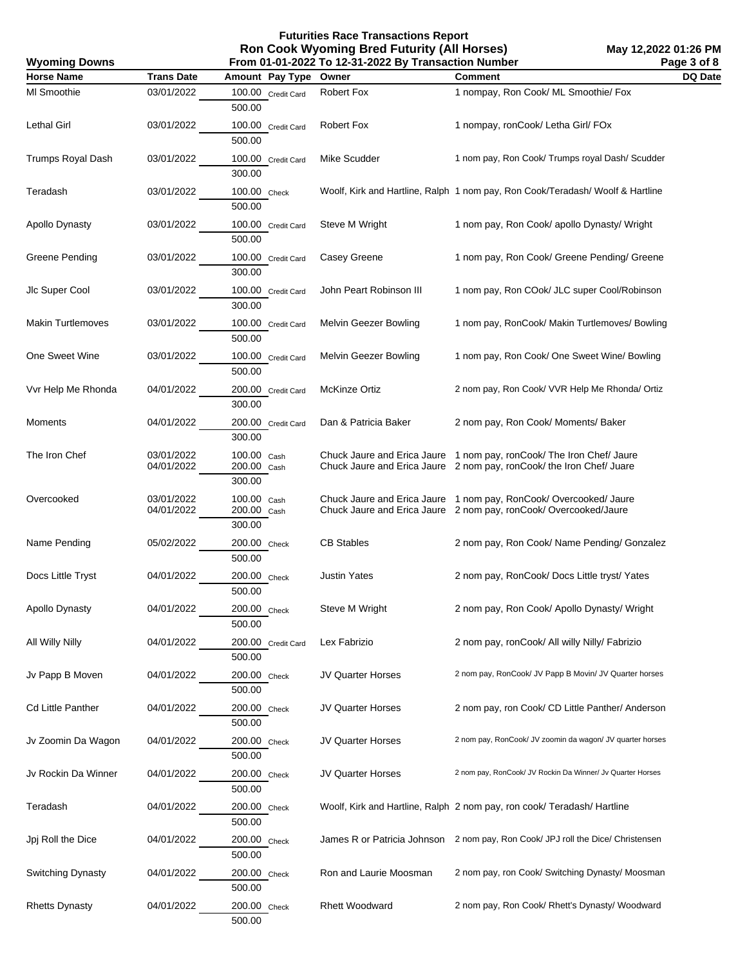**Futurities Race Transactions Report Ron Cook Wyoming Bred Futurity (All Horses)**

**May 12,2022 01:26 PM Page 3 of 8**

| <b>Wyoming Downs</b>     |                          | From 01-01-2022 To 12-31-2022 By Transaction Number |                          |                                                                                                                                              |         |  |
|--------------------------|--------------------------|-----------------------------------------------------|--------------------------|----------------------------------------------------------------------------------------------------------------------------------------------|---------|--|
| <b>Horse Name</b>        | <b>Trans Date</b>        | Amount Pay Type                                     | Owner                    | <b>Comment</b>                                                                                                                               | DQ Date |  |
| MI Smoothie              | 03/01/2022               | 100.00 Credit Card<br>500.00                        | Robert Fox               | 1 nompay, Ron Cook/ ML Smoothie/ Fox                                                                                                         |         |  |
| Lethal Girl              | 03/01/2022               | 100.00 Credit Card<br>500.00                        | Robert Fox               | 1 nompay, ronCook/ Letha Girl/ FOx                                                                                                           |         |  |
| Trumps Royal Dash        | 03/01/2022               | 100.00 Credit Card<br>300.00                        | Mike Scudder             | 1 nom pay, Ron Cook/ Trumps royal Dash/ Scudder                                                                                              |         |  |
| Teradash                 | 03/01/2022               | 100.00 Check<br>500.00                              |                          | Woolf, Kirk and Hartline, Ralph 1 nom pay, Ron Cook/Teradash/ Woolf & Hartline                                                               |         |  |
| Apollo Dynasty           | 03/01/2022               | 100.00 Credit Card<br>500.00                        | Steve M Wright           | 1 nom pay, Ron Cook/ apollo Dynasty/ Wright                                                                                                  |         |  |
| Greene Pending           | 03/01/2022               | 100.00 Credit Card<br>300.00                        | Casey Greene             | 1 nom pay, Ron Cook/ Greene Pending/ Greene                                                                                                  |         |  |
| Jlc Super Cool           | 03/01/2022               | 100.00 Credit Card<br>300.00                        | John Peart Robinson III  | 1 nom pay, Ron COok/ JLC super Cool/Robinson                                                                                                 |         |  |
| <b>Makin Turtlemoves</b> | 03/01/2022               | 100.00 Credit Card<br>500.00                        | Melvin Geezer Bowling    | 1 nom pay, RonCook/ Makin Turtlemoves/ Bowling                                                                                               |         |  |
| One Sweet Wine           | 03/01/2022               | 100.00 Credit Card<br>500.00                        | Melvin Geezer Bowling    | 1 nom pay, Ron Cook/ One Sweet Wine/ Bowling                                                                                                 |         |  |
| Vvr Help Me Rhonda       | 04/01/2022               | 200.00 Credit Card<br>300.00                        | McKinze Ortiz            | 2 nom pay, Ron Cook/ VVR Help Me Rhonda/ Ortiz                                                                                               |         |  |
| Moments                  | 04/01/2022               | 200.00 Credit Card<br>300.00                        | Dan & Patricia Baker     | 2 nom pay, Ron Cook/ Moments/ Baker                                                                                                          |         |  |
| The Iron Chef            | 03/01/2022<br>04/01/2022 | 100.00 Cash<br>200.00 Cash<br>300.00                |                          | Chuck Jaure and Erica Jaure 1 nom pay, ronCook/ The Iron Chef/ Jaure<br>Chuck Jaure and Erica Jaure 2 nom pay, ronCook/ the Iron Chef/ Juare |         |  |
| Overcooked               | 03/01/2022<br>04/01/2022 | 100.00 Cash<br>200.00 Cash<br>300.00                |                          | Chuck Jaure and Erica Jaure 1 nom pay, RonCook/Overcooked/Jaure<br>Chuck Jaure and Erica Jaure 2 nom pay, ronCook/Overcooked/Jaure           |         |  |
| Name Pending             | 05/02/2022               | 200.00 Check<br>500.00                              | <b>CB Stables</b>        | 2 nom pay, Ron Cook/ Name Pending/ Gonzalez                                                                                                  |         |  |
| Docs Little Tryst        | 04/01/2022               | 200.00 Check<br>500.00                              | <b>Justin Yates</b>      | 2 nom pay, RonCook/ Docs Little tryst/ Yates                                                                                                 |         |  |
| Apollo Dynasty           | 04/01/2022               | 200.00 Check<br>500.00                              | Steve M Wright           | 2 nom pay, Ron Cook/ Apollo Dynasty/ Wright                                                                                                  |         |  |
| All Willy Nilly          | 04/01/2022               | 200.00 Credit Card<br>500.00                        | Lex Fabrizio             | 2 nom pay, ronCook/ All willy Nilly/ Fabrizio                                                                                                |         |  |
| Jv Papp B Moven          | 04/01/2022               | 200.00 Check<br>500.00                              | JV Quarter Horses        | 2 nom pay, RonCook/ JV Papp B Movin/ JV Quarter horses                                                                                       |         |  |
| Cd Little Panther        | 04/01/2022               | 200.00 Check<br>500.00                              | <b>JV Quarter Horses</b> | 2 nom pay, ron Cook/ CD Little Panther/ Anderson                                                                                             |         |  |
| Jv Zoomin Da Wagon       | 04/01/2022               | 200.00 Check<br>500.00                              | <b>JV Quarter Horses</b> | 2 nom pay, RonCook/ JV zoomin da wagon/ JV quarter horses                                                                                    |         |  |
| Jv Rockin Da Winner      | 04/01/2022               | 200.00 Check<br>500.00                              | <b>JV Quarter Horses</b> | 2 nom pay, RonCook/ JV Rockin Da Winner/ Jv Quarter Horses                                                                                   |         |  |
| Teradash                 | 04/01/2022               | 200.00 Check<br>500.00                              |                          | Woolf, Kirk and Hartline, Ralph 2 nom pay, ron cook/ Teradash/ Hartline                                                                      |         |  |
| Jpj Roll the Dice        | 04/01/2022               | 200.00 Check<br>500.00                              |                          | James R or Patricia Johnson 2 nom pay, Ron Cook/ JPJ roll the Dice/ Christensen                                                              |         |  |
| Switching Dynasty        | 04/01/2022               | 200.00 Check<br>500.00                              | Ron and Laurie Moosman   | 2 nom pay, ron Cook/ Switching Dynasty/ Moosman                                                                                              |         |  |
| <b>Rhetts Dynasty</b>    | 04/01/2022               | 200.00 Check<br>500.00                              | <b>Rhett Woodward</b>    | 2 nom pay, Ron Cook/ Rhett's Dynasty/ Woodward                                                                                               |         |  |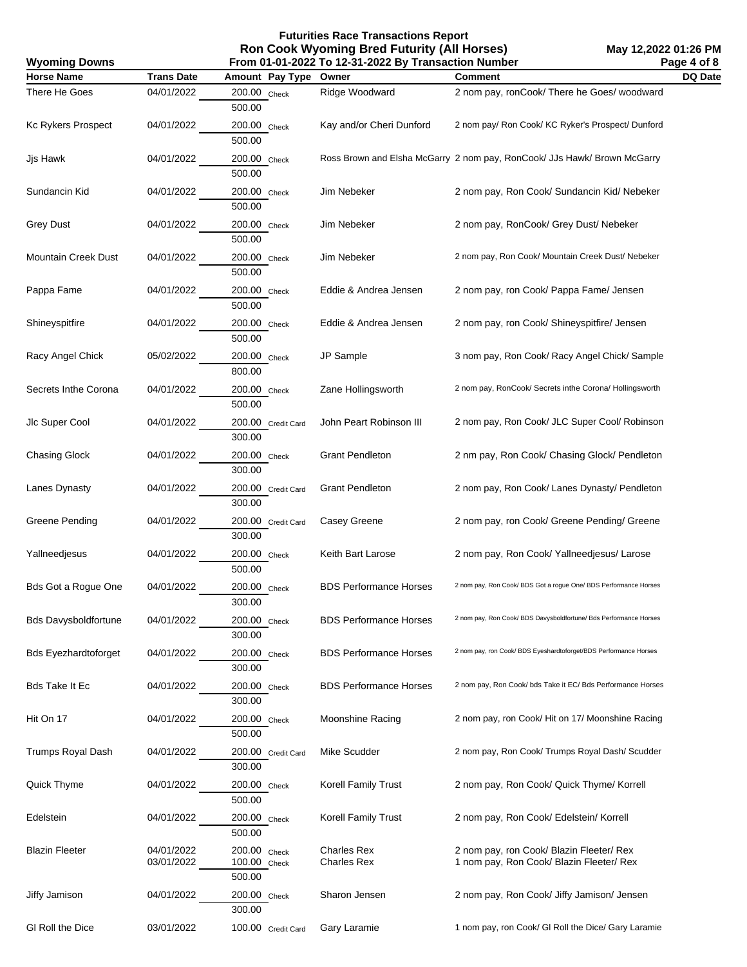| <b>Wyoming Downs</b>        |                          | Page 4 of 8<br>From 01-01-2022 To 12-31-2022 By Transaction Number |                                          |                                                                                      |         |  |
|-----------------------------|--------------------------|--------------------------------------------------------------------|------------------------------------------|--------------------------------------------------------------------------------------|---------|--|
| <b>Horse Name</b>           | <b>Trans Date</b>        | Amount Pay Type                                                    | Owner                                    | <b>Comment</b>                                                                       | DQ Date |  |
| There He Goes               | 04/01/2022               | 200.00 Check<br>500.00                                             | Ridge Woodward                           | 2 nom pay, ronCook/ There he Goes/ woodward                                          |         |  |
| Kc Rykers Prospect          | 04/01/2022               | 200.00 Check<br>500.00                                             | Kay and/or Cheri Dunford                 | 2 nom pay/ Ron Cook/ KC Ryker's Prospect/ Dunford                                    |         |  |
| Jjs Hawk                    | 04/01/2022               | 200.00 Check<br>500.00                                             |                                          | Ross Brown and Elsha McGarry 2 nom pay, RonCook/ JJs Hawk/ Brown McGarry             |         |  |
| Sundancin Kid               | 04/01/2022               | 200.00 Check<br>500.00                                             | Jim Nebeker                              | 2 nom pay, Ron Cook/ Sundancin Kid/ Nebeker                                          |         |  |
| <b>Grey Dust</b>            | 04/01/2022               | 200.00 Check<br>500.00                                             | Jim Nebeker                              | 2 nom pay, RonCook/ Grey Dust/ Nebeker                                               |         |  |
| <b>Mountain Creek Dust</b>  | 04/01/2022               | 200.00 Check<br>500.00                                             | Jim Nebeker                              | 2 nom pay, Ron Cook/ Mountain Creek Dust/ Nebeker                                    |         |  |
| Pappa Fame                  | 04/01/2022               | 200.00 Check<br>500.00                                             | Eddie & Andrea Jensen                    | 2 nom pay, ron Cook/ Pappa Fame/ Jensen                                              |         |  |
| Shineyspitfire              | 04/01/2022               | $200.00$ Check<br>500.00                                           | Eddie & Andrea Jensen                    | 2 nom pay, ron Cook/ Shineyspitfire/ Jensen                                          |         |  |
| Racy Angel Chick            | 05/02/2022               | 200.00 Check<br>800.00                                             | JP Sample                                | 3 nom pay, Ron Cook/ Racy Angel Chick/ Sample                                        |         |  |
| Secrets Inthe Corona        | 04/01/2022               | 200.00 Check<br>500.00                                             | Zane Hollingsworth                       | 2 nom pay, RonCook/ Secrets inthe Corona/ Hollingsworth                              |         |  |
| Jlc Super Cool              | 04/01/2022               | 200.00 Credit Card<br>300.00                                       | John Peart Robinson III                  | 2 nom pay, Ron Cook/ JLC Super Cool/ Robinson                                        |         |  |
| <b>Chasing Glock</b>        | 04/01/2022               | 200.00 Check<br>300.00                                             | <b>Grant Pendleton</b>                   | 2 nm pay, Ron Cook/ Chasing Glock/ Pendleton                                         |         |  |
| Lanes Dynasty               | 04/01/2022               | 200.00 Credit Card<br>300.00                                       | <b>Grant Pendleton</b>                   | 2 nom pay, Ron Cook/ Lanes Dynasty/ Pendleton                                        |         |  |
| Greene Pending              | 04/01/2022               | 200.00 Credit Card<br>300.00                                       | Casey Greene                             | 2 nom pay, ron Cook/ Greene Pending/ Greene                                          |         |  |
| Yallneedjesus               | 04/01/2022               | 200.00 Check<br>500.00                                             | Keith Bart Larose                        | 2 nom pay, Ron Cook/ Yallneedjesus/ Larose                                           |         |  |
| <b>Bds Got a Rogue One</b>  | 04/01/2022               | 200.00 Check<br>300.00                                             | <b>BDS Performance Horses</b>            | 2 nom pay, Ron Cook/ BDS Got a rogue One/ BDS Performance Horses                     |         |  |
| <b>Bds Davysboldfortune</b> | 04/01/2022               | 200.00 Check<br>300.00                                             | <b>BDS Performance Horses</b>            | 2 nom pay, Ron Cook/ BDS Davysboldfortune/ Bds Performance Horses                    |         |  |
| <b>Bds Eyezhardtoforget</b> | 04/01/2022               | 200.00 Check<br>300.00                                             | <b>BDS Performance Horses</b>            | 2 nom pay, ron Cook/ BDS Eyeshardtoforget/BDS Performance Horses                     |         |  |
| Bds Take It Ec              | 04/01/2022               | 200.00 Check<br>300.00                                             | <b>BDS Performance Horses</b>            | 2 nom pay, Ron Cook/ bds Take it EC/ Bds Performance Horses                          |         |  |
| Hit On 17                   | 04/01/2022               | 200.00 Check<br>500.00                                             | Moonshine Racing                         | 2 nom pay, ron Cook/ Hit on 17/ Moonshine Racing                                     |         |  |
| <b>Trumps Royal Dash</b>    | 04/01/2022               | 200.00 Credit Card<br>300.00                                       | Mike Scudder                             | 2 nom pay, Ron Cook/ Trumps Royal Dash/ Scudder                                      |         |  |
| Quick Thyme                 | 04/01/2022               | 200.00 Check<br>500.00                                             | Korell Family Trust                      | 2 nom pay, Ron Cook/ Quick Thyme/ Korrell                                            |         |  |
| Edelstein                   | 04/01/2022               | 200.00 Check<br>500.00                                             | Korell Family Trust                      | 2 nom pay, Ron Cook/ Edelstein/ Korrell                                              |         |  |
| <b>Blazin Fleeter</b>       | 04/01/2022<br>03/01/2022 | 200.00 Check<br>100.00 Check<br>500.00                             | <b>Charles Rex</b><br><b>Charles Rex</b> | 2 nom pay, ron Cook/ Blazin Fleeter/ Rex<br>1 nom pay, Ron Cook/ Blazin Fleeter/ Rex |         |  |
| Jiffy Jamison               | 04/01/2022               | 200.00 Check<br>300.00                                             | Sharon Jensen                            | 2 nom pay, Ron Cook/ Jiffy Jamison/ Jensen                                           |         |  |
| GI Roll the Dice            | 03/01/2022               | 100.00 Credit Card                                                 | Gary Laramie                             | 1 nom pay, ron Cook/ GI Roll the Dice/ Gary Laramie                                  |         |  |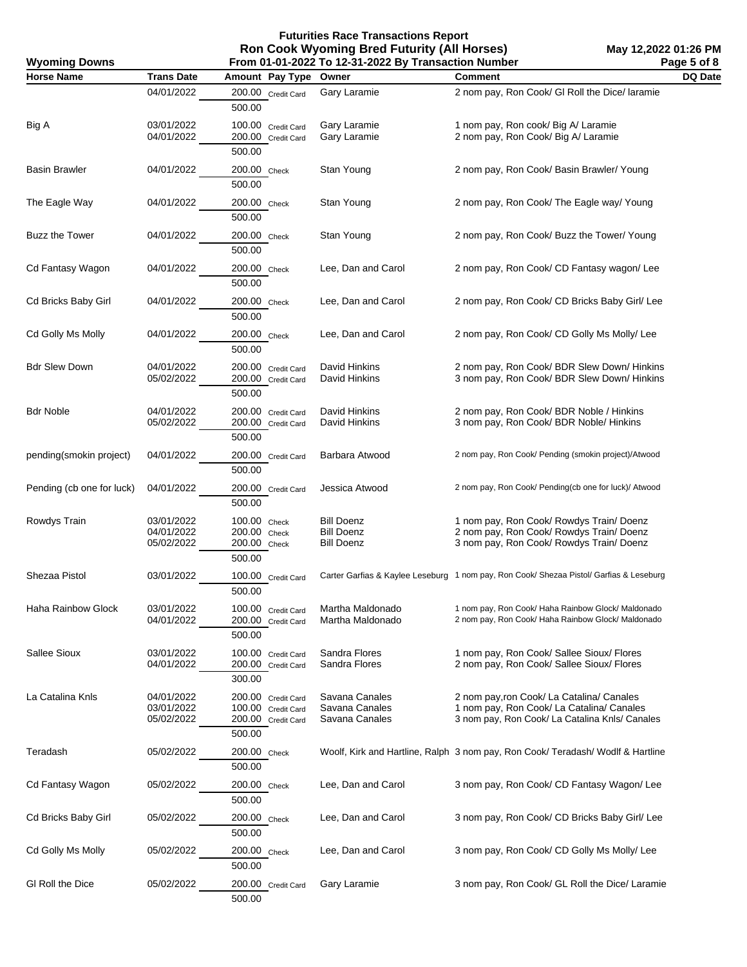| <b>Wyoming Downs</b><br>From 01-01-2022 To 12-31-2022 By Transaction Number |                                        |                                                                          |                                                             | Page 5 of 8                                                                                                                              |         |
|-----------------------------------------------------------------------------|----------------------------------------|--------------------------------------------------------------------------|-------------------------------------------------------------|------------------------------------------------------------------------------------------------------------------------------------------|---------|
| <b>Horse Name</b>                                                           | <b>Trans Date</b>                      | Amount Pay Type                                                          | Owner                                                       | <b>Comment</b>                                                                                                                           | DQ Date |
|                                                                             | 04/01/2022                             | 200.00 Credit Card<br>500.00                                             | Gary Laramie                                                | 2 nom pay, Ron Cook/ GI Roll the Dice/ laramie                                                                                           |         |
| Big A                                                                       | 03/01/2022<br>04/01/2022               | 100.00 Credit Card<br>200.00 Credit Card<br>500.00                       | Gary Laramie<br>Gary Laramie                                | 1 nom pay, Ron cook/ Big A/ Laramie<br>2 nom pay, Ron Cook/ Big A/ Laramie                                                               |         |
| Basin Brawler                                                               | 04/01/2022                             | 200.00 Check<br>500.00                                                   | Stan Young                                                  | 2 nom pay, Ron Cook/ Basin Brawler/ Young                                                                                                |         |
| The Eagle Way                                                               | 04/01/2022                             | 200.00 Check<br>500.00                                                   | Stan Young                                                  | 2 nom pay, Ron Cook/ The Eagle way/ Young                                                                                                |         |
| <b>Buzz the Tower</b>                                                       | 04/01/2022                             | 200.00 Check<br>500.00                                                   | Stan Young                                                  | 2 nom pay, Ron Cook/ Buzz the Tower/ Young                                                                                               |         |
| Cd Fantasy Wagon                                                            | 04/01/2022                             | 200.00 Check<br>500.00                                                   | Lee, Dan and Carol                                          | 2 nom pay, Ron Cook/ CD Fantasy wagon/ Lee                                                                                               |         |
| Cd Bricks Baby Girl                                                         | 04/01/2022                             | 200.00 Check<br>500.00                                                   | Lee, Dan and Carol                                          | 2 nom pay, Ron Cook/ CD Bricks Baby Girl/ Lee                                                                                            |         |
| Cd Golly Ms Molly                                                           | 04/01/2022                             | 200.00 Check<br>500.00                                                   | Lee, Dan and Carol                                          | 2 nom pay, Ron Cook/ CD Golly Ms Molly/ Lee                                                                                              |         |
| <b>Bdr Slew Down</b>                                                        | 04/01/2022<br>05/02/2022               | 200.00 Credit Card<br>200.00 Credit Card<br>500.00                       | David Hinkins<br>David Hinkins                              | 2 nom pay, Ron Cook/ BDR Slew Down/ Hinkins<br>3 nom pay, Ron Cook/ BDR Slew Down/ Hinkins                                               |         |
| <b>Bdr Noble</b>                                                            | 04/01/2022<br>05/02/2022               | 200.00 Credit Card<br>200.00 Credit Card<br>500.00                       | David Hinkins<br>David Hinkins                              | 2 nom pay, Ron Cook/ BDR Noble / Hinkins<br>3 nom pay, Ron Cook/ BDR Noble/ Hinkins                                                      |         |
| pending(smokin project)                                                     | 04/01/2022                             | 200.00 Credit Card<br>500.00                                             | Barbara Atwood                                              | 2 nom pay, Ron Cook/ Pending (smokin project)/Atwood                                                                                     |         |
| Pending (cb one for luck)                                                   | 04/01/2022                             | 200.00 Credit Card<br>500.00                                             | Jessica Atwood                                              | 2 nom pay, Ron Cook/ Pending(cb one for luck)/ Atwood                                                                                    |         |
| Rowdys Train                                                                | 03/01/2022<br>04/01/2022<br>05/02/2022 | 100.00 Check<br>200.00 Check<br>200.00 Check<br>500.00                   | <b>Bill Doenz</b><br><b>Bill Doenz</b><br><b>Bill Doenz</b> | 1 nom pay, Ron Cook/ Rowdys Train/ Doenz<br>2 nom pay, Ron Cook/ Rowdys Train/ Doenz<br>3 nom pay, Ron Cook/ Rowdys Train/ Doenz         |         |
| Shezaa Pistol                                                               | 03/01/2022                             | 100.00 Credit Card<br>500.00                                             |                                                             | Carter Garfias & Kaylee Leseburg 1 nom pay, Ron Cook/ Shezaa Pistol/ Garfias & Leseburg                                                  |         |
| Haha Rainbow Glock                                                          | 03/01/2022<br>04/01/2022               | 100.00 Credit Card<br>200.00 Credit Card<br>500.00                       | Martha Maldonado<br>Martha Maldonado                        | 1 nom pay, Ron Cook/ Haha Rainbow Glock/ Maldonado<br>2 nom pay, Ron Cook/ Haha Rainbow Glock/ Maldonado                                 |         |
| Sallee Sioux                                                                | 03/01/2022<br>04/01/2022               | 100.00 Credit Card<br>200.00 Credit Card<br>300.00                       | Sandra Flores<br>Sandra Flores                              | 1 nom pay, Ron Cook/ Sallee Sioux/ Flores<br>2 nom pay, Ron Cook/ Sallee Sioux/ Flores                                                   |         |
| La Catalina Knls                                                            | 04/01/2022<br>03/01/2022<br>05/02/2022 | 200.00 Credit Card<br>100.00 Credit Card<br>200.00 Credit Card<br>500.00 | Savana Canales<br>Savana Canales<br>Savana Canales          | 2 nom pay, ron Cook/ La Catalina/ Canales<br>1 nom pay, Ron Cook/ La Catalina/ Canales<br>3 nom pay, Ron Cook/ La Catalina Knls/ Canales |         |
| Teradash                                                                    | 05/02/2022                             | 200.00 Check<br>500.00                                                   |                                                             | Woolf, Kirk and Hartline, Ralph 3 nom pay, Ron Cook/ Teradash/ Wodlf & Hartline                                                          |         |
| Cd Fantasy Wagon                                                            | 05/02/2022                             | 200.00 Check<br>500.00                                                   | Lee, Dan and Carol                                          | 3 nom pay, Ron Cook/ CD Fantasy Wagon/Lee                                                                                                |         |
| Cd Bricks Baby Girl                                                         | 05/02/2022                             | 200.00 Check<br>500.00                                                   | Lee, Dan and Carol                                          | 3 nom pay, Ron Cook/ CD Bricks Baby Girl/ Lee                                                                                            |         |
| Cd Golly Ms Molly                                                           | 05/02/2022                             | 200.00 Check<br>500.00                                                   | Lee, Dan and Carol                                          | 3 nom pay, Ron Cook/ CD Golly Ms Molly/ Lee                                                                                              |         |
| GI Roll the Dice                                                            | 05/02/2022                             | 200.00 Credit Card<br>500.00                                             | Gary Laramie                                                | 3 nom pay, Ron Cook/ GL Roll the Dice/ Laramie                                                                                           |         |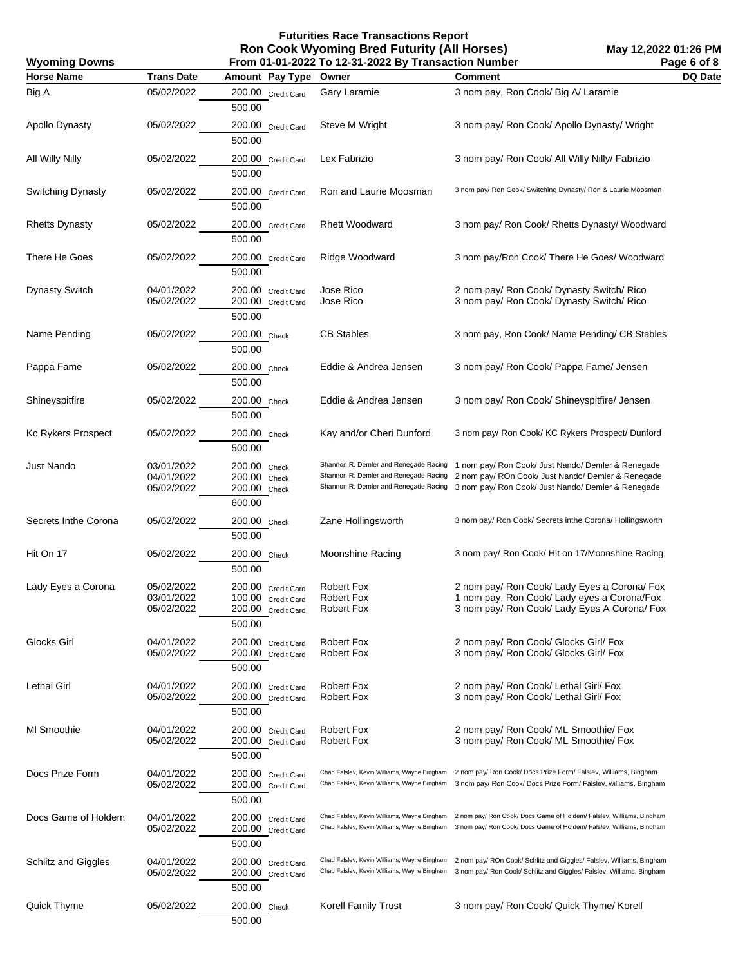**May 12,2022 01:26 PM Page 6 of 8**

| <b>Wyoming Downs</b>  |                                        | Page 6 of 8                                                              |                                                                                                                         |                                                                                                                                                                                                                                      |         |
|-----------------------|----------------------------------------|--------------------------------------------------------------------------|-------------------------------------------------------------------------------------------------------------------------|--------------------------------------------------------------------------------------------------------------------------------------------------------------------------------------------------------------------------------------|---------|
| <b>Horse Name</b>     | <b>Trans Date</b>                      | Amount Pay Type                                                          | Owner                                                                                                                   | <b>Comment</b>                                                                                                                                                                                                                       | DQ Date |
| Big A                 | 05/02/2022                             | 200.00 Credit Card<br>500.00                                             | Gary Laramie                                                                                                            | 3 nom pay, Ron Cook/ Big A/ Laramie                                                                                                                                                                                                  |         |
| Apollo Dynasty        | 05/02/2022                             | 200.00 Credit Card<br>500.00                                             | Steve M Wright                                                                                                          | 3 nom pay/ Ron Cook/ Apollo Dynasty/ Wright                                                                                                                                                                                          |         |
| All Willy Nilly       | 05/02/2022                             | 200.00 Credit Card<br>500.00                                             | Lex Fabrizio                                                                                                            | 3 nom pay/ Ron Cook/ All Willy Nilly/ Fabrizio                                                                                                                                                                                       |         |
| Switching Dynasty     | 05/02/2022                             | 200.00 Credit Card<br>500.00                                             | Ron and Laurie Moosman                                                                                                  | 3 nom pay/ Ron Cook/ Switching Dynasty/ Ron & Laurie Moosman                                                                                                                                                                         |         |
| <b>Rhetts Dynasty</b> | 05/02/2022                             | 200.00 Credit Card<br>500.00                                             | <b>Rhett Woodward</b>                                                                                                   | 3 nom pay/ Ron Cook/ Rhetts Dynasty/ Woodward                                                                                                                                                                                        |         |
| There He Goes         | 05/02/2022                             | 200.00 Credit Card<br>500.00                                             | Ridge Woodward                                                                                                          | 3 nom pay/Ron Cook/ There He Goes/ Woodward                                                                                                                                                                                          |         |
| <b>Dynasty Switch</b> | 04/01/2022<br>05/02/2022               | 200.00 Credit Card<br>200.00 Credit Card<br>500.00                       | Jose Rico<br>Jose Rico                                                                                                  | 2 nom pay/ Ron Cook/ Dynasty Switch/ Rico<br>3 nom pay/ Ron Cook/ Dynasty Switch/ Rico                                                                                                                                               |         |
| Name Pending          | 05/02/2022                             | 200.00 Check<br>500.00                                                   | <b>CB Stables</b>                                                                                                       | 3 nom pay, Ron Cook/ Name Pending/ CB Stables                                                                                                                                                                                        |         |
| Pappa Fame            | 05/02/2022                             | 200.00 Check<br>500.00                                                   | Eddie & Andrea Jensen                                                                                                   | 3 nom pay/ Ron Cook/ Pappa Fame/ Jensen                                                                                                                                                                                              |         |
| Shineyspitfire        | 05/02/2022                             | 200.00 Check<br>500.00                                                   | Eddie & Andrea Jensen                                                                                                   | 3 nom pay/ Ron Cook/ Shineyspitfire/ Jensen                                                                                                                                                                                          |         |
| Kc Rykers Prospect    | 05/02/2022                             | 200.00 Check<br>500.00                                                   | Kay and/or Cheri Dunford                                                                                                | 3 nom pay/ Ron Cook/ KC Rykers Prospect/ Dunford                                                                                                                                                                                     |         |
| Just Nando            | 03/01/2022<br>04/01/2022<br>05/02/2022 | 200.00 Check<br>200.00 Check<br>200.00 Check<br>600.00                   | Shannon R. Demler and Renegade Racing<br>Shannon R. Demler and Renegade Racing<br>Shannon R. Demler and Renegade Racing | 1 nom pay/ Ron Cook/ Just Nando/ Demler & Renegade<br>2 nom pay/ ROn Cook/ Just Nando/ Demler & Renegade<br>3 nom pay/ Ron Cook/ Just Nando/ Demler & Renegade                                                                       |         |
| Secrets Inthe Corona  | 05/02/2022                             | 200.00 Check<br>500.00                                                   | Zane Hollingsworth                                                                                                      | 3 nom pay/ Ron Cook/ Secrets inthe Corona/ Hollingsworth                                                                                                                                                                             |         |
| Hit On 17             | 05/02/2022                             | 200.00 Check<br>500.00                                                   | Moonshine Racing                                                                                                        | 3 nom pay/ Ron Cook/ Hit on 17/Moonshine Racing                                                                                                                                                                                      |         |
| Lady Eyes a Corona    | 05/02/2022<br>03/01/2022<br>05/02/2022 | 200.00 Credit Card<br>100.00 Credit Card<br>200.00 Credit Card<br>500.00 | Robert Fox<br><b>Robert Fox</b><br>Robert Fox                                                                           | 2 nom pay/ Ron Cook/ Lady Eyes a Corona/ Fox<br>1 nom pay, Ron Cook/ Lady eyes a Corona/Fox<br>3 nom pay/ Ron Cook/ Lady Eyes A Corona/ Fox                                                                                          |         |
| Glocks Girl           | 04/01/2022<br>05/02/2022               | 200.00 Credit Card<br>200.00 Credit Card<br>500.00                       | <b>Robert Fox</b><br><b>Robert Fox</b>                                                                                  | 2 nom pay/ Ron Cook/ Glocks Girl/ Fox<br>3 nom pay/ Ron Cook/ Glocks Girl/ Fox                                                                                                                                                       |         |
| Lethal Girl           | 04/01/2022<br>05/02/2022               | 200.00 Credit Card<br>200.00 Credit Card<br>500.00                       | <b>Robert Fox</b><br><b>Robert Fox</b>                                                                                  | 2 nom pay/ Ron Cook/ Lethal Girl/ Fox<br>3 nom pay/ Ron Cook/ Lethal Girl/ Fox                                                                                                                                                       |         |
| MI Smoothie           | 04/01/2022<br>05/02/2022               | 200.00 Credit Card<br>200.00 Credit Card<br>500.00                       | <b>Robert Fox</b><br><b>Robert Fox</b>                                                                                  | 2 nom pay/ Ron Cook/ ML Smoothie/ Fox<br>3 nom pay/ Ron Cook/ ML Smoothie/ Fox                                                                                                                                                       |         |
| Docs Prize Form       | 04/01/2022<br>05/02/2022               | 200.00 Credit Card<br>200.00 Credit Card<br>500.00                       |                                                                                                                         | Chad Falslev, Kevin Williams, Wayne Bingham 2 nom pay/ Ron Cook/ Docs Prize Form/ Falslev, Williams, Bingham<br>Chad Falslev, Kevin Williams, Wayne Bingham 3 nom pay/ Ron Cook/ Docs Prize Form/ Falslev, williams, Bingham         |         |
| Docs Game of Holdem   | 04/01/2022<br>05/02/2022               | 200.00 Credit Card<br>200.00 Credit Card<br>500.00                       |                                                                                                                         | Chad Falslev, Kevin Williams, Wayne Bingham 2 nom pay/ Ron Cook/ Docs Game of Holdem/ Falslev, Williams, Bingham<br>Chad Falslev, Kevin Williams, Wayne Bingham 3 nom pay/ Ron Cook/ Docs Game of Holdem/ Falslev, Williams, Bingham |         |
| Schlitz and Giggles   | 04/01/2022<br>05/02/2022               | 200.00 Credit Card<br>200.00 Credit Card<br>500.00                       |                                                                                                                         | Chad Falslev, Kevin Williams, Wayne Bingham 2 nom pay/ROn Cook/ Schlitz and Giggles/ Falslev, Williams, Bingham<br>Chad Falslev, Kevin Williams, Wayne Bingham 3 nom pay/ Ron Cook/ Schlitz and Giggles/ Falslev, Williams, Bingham  |         |
| Quick Thyme           | 05/02/2022                             | 200.00 Check<br>500.00                                                   | Korell Family Trust                                                                                                     | 3 nom pay/ Ron Cook/ Quick Thyme/ Korell                                                                                                                                                                                             |         |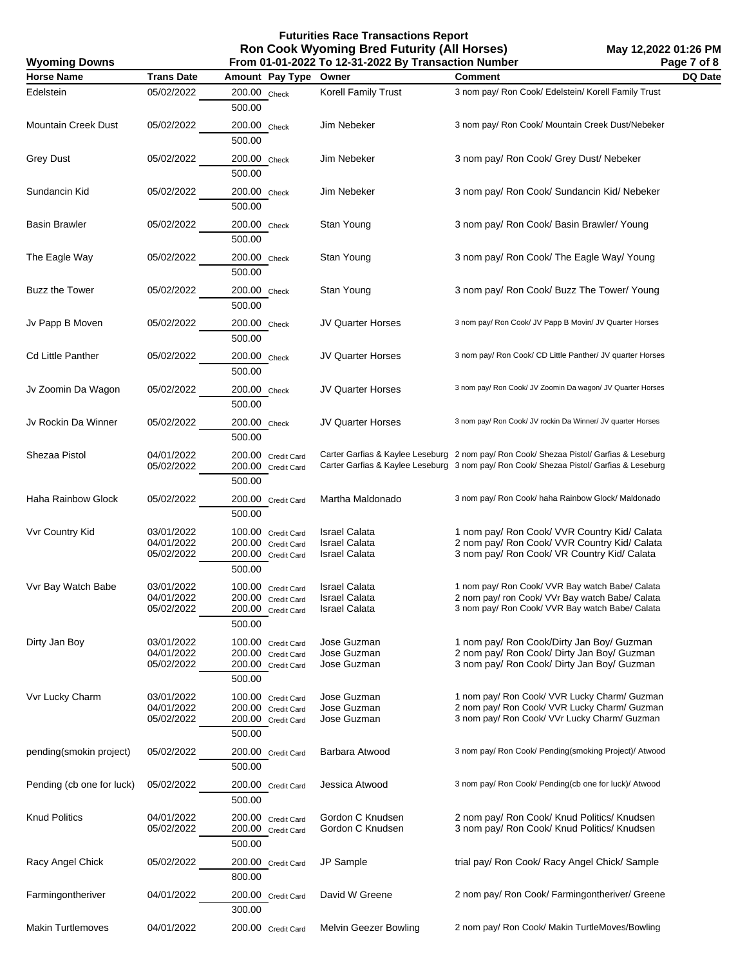**Wyoming Downs**

| <b>Horse Name</b>          | <b>Trans Date</b>                      | Amount Pay Type                                                          | Owner                                                                | <b>Comment</b>                                                                                                                                                                     | DQ Date |
|----------------------------|----------------------------------------|--------------------------------------------------------------------------|----------------------------------------------------------------------|------------------------------------------------------------------------------------------------------------------------------------------------------------------------------------|---------|
| Edelstein                  | 05/02/2022                             | 200.00 Check<br>500.00                                                   | Korell Family Trust                                                  | 3 nom pay/ Ron Cook/ Edelstein/ Korell Family Trust                                                                                                                                |         |
| <b>Mountain Creek Dust</b> | 05/02/2022                             | 200.00 Check<br>500.00                                                   | Jim Nebeker                                                          | 3 nom pay/ Ron Cook/ Mountain Creek Dust/Nebeker                                                                                                                                   |         |
| <b>Grey Dust</b>           | 05/02/2022                             | 200.00 Check<br>500.00                                                   | Jim Nebeker                                                          | 3 nom pay/ Ron Cook/ Grey Dust/ Nebeker                                                                                                                                            |         |
| Sundancin Kid              | 05/02/2022                             | 200.00 Check<br>500.00                                                   | Jim Nebeker                                                          | 3 nom pay/ Ron Cook/ Sundancin Kid/ Nebeker                                                                                                                                        |         |
| <b>Basin Brawler</b>       | 05/02/2022                             | 200.00 Check<br>500.00                                                   | Stan Young                                                           | 3 nom pay/ Ron Cook/ Basin Brawler/ Young                                                                                                                                          |         |
| The Eagle Way              | 05/02/2022                             | 200.00 Check<br>500.00                                                   | Stan Young                                                           | 3 nom pay/ Ron Cook/ The Eagle Way/ Young                                                                                                                                          |         |
| <b>Buzz the Tower</b>      | 05/02/2022                             | 200.00 Check<br>500.00                                                   | Stan Young                                                           | 3 nom pay/ Ron Cook/ Buzz The Tower/ Young                                                                                                                                         |         |
| Jv Papp B Moven            | 05/02/2022                             | 200.00 Check<br>500.00                                                   | <b>JV Quarter Horses</b>                                             | 3 nom pay/ Ron Cook/ JV Papp B Movin/ JV Quarter Horses                                                                                                                            |         |
| <b>Cd Little Panther</b>   | 05/02/2022                             | 200.00 Check<br>500.00                                                   | <b>JV Quarter Horses</b>                                             | 3 nom pay/ Ron Cook/ CD Little Panther/ JV quarter Horses                                                                                                                          |         |
| Jv Zoomin Da Wagon         | 05/02/2022                             | 200.00 Check<br>500.00                                                   | <b>JV Quarter Horses</b>                                             | 3 nom pay/ Ron Cook/ JV Zoomin Da wagon/ JV Quarter Horses                                                                                                                         |         |
| Jv Rockin Da Winner        | 05/02/2022                             | 200.00 Check<br>500.00                                                   | <b>JV Quarter Horses</b>                                             | 3 nom pay/ Ron Cook/ JV rockin Da Winner/ JV quarter Horses                                                                                                                        |         |
| Shezaa Pistol              | 04/01/2022<br>05/02/2022               | 200.00 Credit Card<br>200.00 Credit Card<br>500.00                       |                                                                      | Carter Garfias & Kaylee Leseburg 2 nom pay/ Ron Cook/ Shezaa Pistol/ Garfias & Leseburg<br>Carter Garfias & Kaylee Leseburg 3 nom pay/ Ron Cook/ Shezaa Pistol/ Garfias & Leseburg |         |
| Haha Rainbow Glock         | 05/02/2022                             | 200.00 Credit Card<br>500.00                                             | Martha Maldonado                                                     | 3 nom pay/ Ron Cook/ haha Rainbow Glock/ Maldonado                                                                                                                                 |         |
| Vvr Country Kid            | 03/01/2022<br>04/01/2022<br>05/02/2022 | 100.00 Credit Card<br>200.00 Credit Card<br>200.00 Credit Card<br>500.00 | <b>Israel Calata</b><br><b>Israel Calata</b><br><b>Israel Calata</b> | 1 nom pay/ Ron Cook/ VVR Country Kid/ Calata<br>2 nom pay/ Ron Cook/ VVR Country Kid/ Calata<br>3 nom pay/ Ron Cook/ VR Country Kid/ Calata                                        |         |
| Vvr Bay Watch Babe         | 03/01/2022<br>04/01/2022<br>05/02/2022 | 100.00 Credit Card<br>200.00 Credit Card<br>200.00 Credit Card<br>500.00 | <b>Israel Calata</b><br><b>Israel Calata</b><br><b>Israel Calata</b> | 1 nom pay/ Ron Cook/ VVR Bay watch Babe/ Calata<br>2 nom pay/ ron Cook/ VVr Bay watch Babe/ Calata<br>3 nom pay/ Ron Cook/ VVR Bay watch Babe/ Calata                              |         |
| Dirty Jan Boy              | 03/01/2022<br>04/01/2022<br>05/02/2022 | 100.00 Credit Card<br>200.00 Credit Card<br>200.00 Credit Card<br>500.00 | Jose Guzman<br>Jose Guzman<br>Jose Guzman                            | 1 nom pay/ Ron Cook/Dirty Jan Boy/ Guzman<br>2 nom pay/ Ron Cook/ Dirty Jan Boy/ Guzman<br>3 nom pay/ Ron Cook/ Dirty Jan Boy/ Guzman                                              |         |
| Vvr Lucky Charm            | 03/01/2022<br>04/01/2022<br>05/02/2022 | 100.00 Credit Card<br>200.00 Credit Card<br>200.00 Credit Card<br>500.00 | Jose Guzman<br>Jose Guzman<br>Jose Guzman                            | 1 nom pay/ Ron Cook/ VVR Lucky Charm/ Guzman<br>2 nom pay/ Ron Cook/ VVR Lucky Charm/ Guzman<br>3 nom pay/ Ron Cook/ VVr Lucky Charm/ Guzman                                       |         |
| pending(smokin project)    | 05/02/2022                             | 200.00 Credit Card<br>500.00                                             | Barbara Atwood                                                       | 3 nom pay/ Ron Cook/ Pending(smoking Project)/ Atwood                                                                                                                              |         |
| Pending (cb one for luck)  | 05/02/2022                             | 200.00 Credit Card<br>500.00                                             | Jessica Atwood                                                       | 3 nom pay/ Ron Cook/ Pending(cb one for luck)/ Atwood                                                                                                                              |         |
| <b>Knud Politics</b>       | 04/01/2022<br>05/02/2022               | 200.00 Credit Card<br>200.00 Credit Card<br>500.00                       | Gordon C Knudsen<br>Gordon C Knudsen                                 | 2 nom pay/ Ron Cook/ Knud Politics/ Knudsen<br>3 nom pay/ Ron Cook/ Knud Politics/ Knudsen                                                                                         |         |
| Racy Angel Chick           | 05/02/2022                             | 200.00 Credit Card<br>800.00                                             | JP Sample                                                            | trial pay/ Ron Cook/ Racy Angel Chick/ Sample                                                                                                                                      |         |
| Farmingontheriver          | 04/01/2022                             | 200.00 Credit Card<br>300.00                                             | David W Greene                                                       | 2 nom pay/ Ron Cook/ Farmingontheriver/ Greene                                                                                                                                     |         |
| <b>Makin Turtlemoves</b>   | 04/01/2022                             | 200.00 Credit Card                                                       | Melvin Geezer Bowling                                                | 2 nom pay/ Ron Cook/ Makin TurtleMoves/Bowling                                                                                                                                     |         |